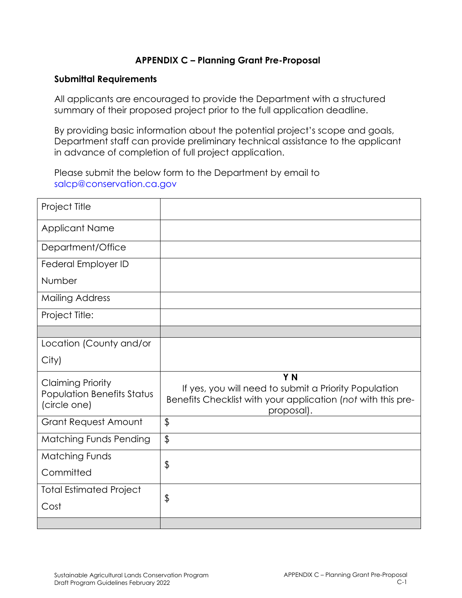## **APPENDIX C – Planning Grant Pre-Proposal**

#### **Submittal Requirements**

All applicants are encouraged to provide the Department with a structured summary of their proposed project prior to the full application deadline.

By providing basic information about the potential project's scope and goals, Department staff can provide preliminary technical assistance to the applicant in advance of completion of full project application.

Please submit the below form to the Department by email to [salcp@conservation.ca.gov](mailto:SALCP@conservation.ca.gov)

| Project Title                                                                 |                                                                                                                                                       |
|-------------------------------------------------------------------------------|-------------------------------------------------------------------------------------------------------------------------------------------------------|
| <b>Applicant Name</b>                                                         |                                                                                                                                                       |
| Department/Office                                                             |                                                                                                                                                       |
| Federal Employer ID                                                           |                                                                                                                                                       |
| Number                                                                        |                                                                                                                                                       |
| <b>Mailing Address</b>                                                        |                                                                                                                                                       |
| Project Title:                                                                |                                                                                                                                                       |
|                                                                               |                                                                                                                                                       |
| Location (County and/or                                                       |                                                                                                                                                       |
| City)                                                                         |                                                                                                                                                       |
| <b>Claiming Priority</b><br><b>Population Benefits Status</b><br>(circle one) | Y <sub>N</sub><br>If yes, you will need to submit a Priority Population<br>Benefits Checklist with your application (not with this pre-<br>proposal). |
| <b>Grant Request Amount</b>                                                   | $\frac{1}{2}$                                                                                                                                         |
| <b>Matching Funds Pending</b>                                                 | $\frac{1}{2}$                                                                                                                                         |
| <b>Matching Funds</b>                                                         | \$                                                                                                                                                    |
| Committed                                                                     |                                                                                                                                                       |
| <b>Total Estimated Project</b>                                                |                                                                                                                                                       |
| Cost                                                                          | \$                                                                                                                                                    |
|                                                                               |                                                                                                                                                       |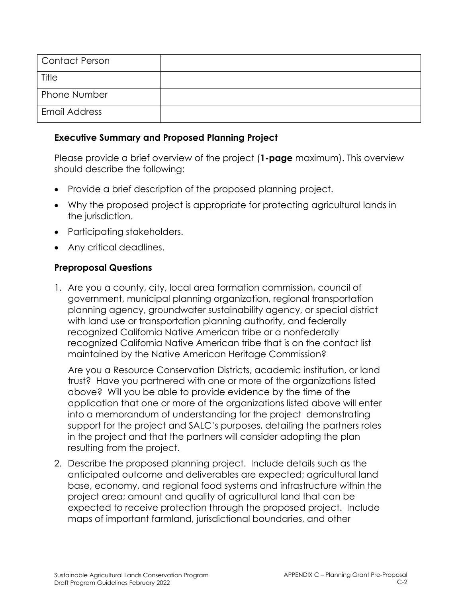| Contact Person       |  |
|----------------------|--|
| Title                |  |
| Phone Number         |  |
| <b>Email Address</b> |  |

#### **Executive Summary and Proposed Planning Project**

Please provide a brief overview of the project (**1-page** maximum). This overview should describe the following:

- Provide a brief description of the proposed planning project.
- Why the proposed project is appropriate for protecting agricultural lands in the jurisdiction.
- Participating stakeholders.
- Any critical deadlines.

### **Preproposal Questions**

1. Are you a county, city, local area formation commission, council of government, municipal planning organization, regional transportation planning agency, groundwater sustainability agency, or special district with land use or transportation planning authority, and federally recognized California Native American tribe or a nonfederally recognized California Native American tribe that is on the contact list maintained by the Native American Heritage Commission?

Are you a Resource Conservation Districts, academic institution, or land trust? Have you partnered with one or more of the organizations listed above? Will you be able to provide evidence by the time of the application that one or more of the organizations listed above will enter into a memorandum of understanding for the project demonstrating support for the project and SALC's purposes, detailing the partners roles in the project and that the partners will consider adopting the plan resulting from the project.

2. Describe the proposed planning project. Include details such as the anticipated outcome and deliverables are expected; agricultural land base, economy, and regional food systems and infrastructure within the project area; amount and quality of agricultural land that can be expected to receive protection through the proposed project. Include maps of important farmland, jurisdictional boundaries, and other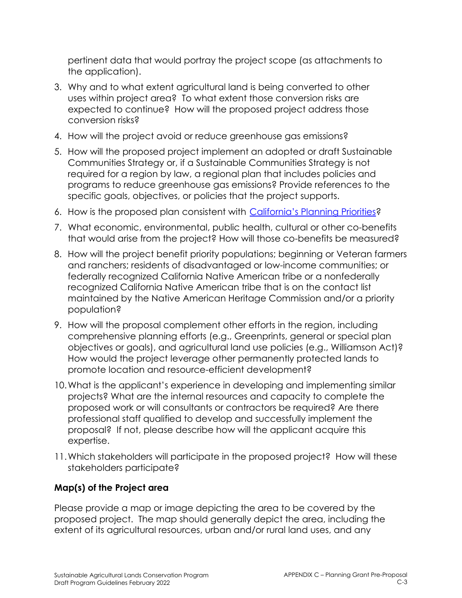pertinent data that would portray the project scope (as attachments to the application).

- 3. Why and to what extent agricultural land is being converted to other uses within project area? To what extent those conversion risks are expected to continue? How will the proposed project address those conversion risks?
- 4. How will the project avoid or reduce greenhouse gas emissions?
- 5. How will the proposed project implement an adopted or draft Sustainable Communities Strategy or, if a Sustainable Communities Strategy is not required for a region by law, a regional plan that includes policies and programs to reduce greenhouse gas emissions? Provide references to the specific goals, objectives, or policies that the project supports.
- 6. How is the proposed plan consistent with [California's Planning Priorities?](https://leginfo.legislature.ca.gov/faces/codes_displaySection.xhtml?lawCode=GOV§ionNum=65041.1)
- 7. What economic, environmental, public health, cultural or other co-benefits that would arise from the project? How will those co-benefits be measured?
- 8. How will the project benefit priority populations; beginning or Veteran farmers and ranchers; residents of disadvantaged or low-income communities; or federally recognized California Native American tribe or a nonfederally recognized California Native American tribe that is on the contact list maintained by the Native American Heritage Commission and/or a priority population?
- 9. How will the proposal complement other efforts in the region, including comprehensive planning efforts (e.g., Greenprints, general or special plan objectives or goals), and agricultural land use policies (e.g., Williamson Act)? How would the project leverage other permanently protected lands to promote location and resource-efficient development?
- 10.What is the applicant's experience in developing and implementing similar projects? What are the internal resources and capacity to complete the proposed work or will consultants or contractors be required? Are there professional staff qualified to develop and successfully implement the proposal? If not, please describe how will the applicant acquire this expertise.
- 11.Which stakeholders will participate in the proposed project? How will these stakeholders participate?

# **Map(s) of the Project area**

Please provide a map or image depicting the area to be covered by the proposed project. The map should generally depict the area, including the extent of its agricultural resources, urban and/or rural land uses, and any